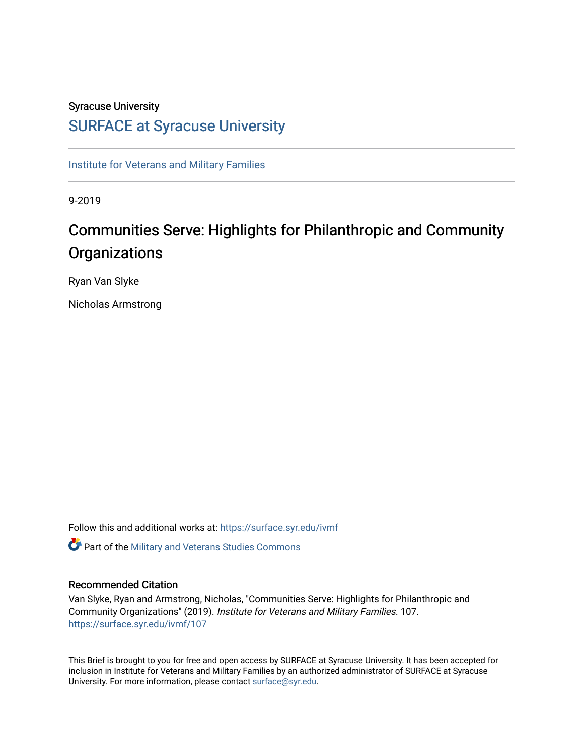## Syracuse University

## [SURFACE at Syracuse University](https://surface.syr.edu/)

[Institute for Veterans and Military Families](https://surface.syr.edu/ivmf)

9-2019

# Communities Serve: Highlights for Philanthropic and Community **Organizations**

Ryan Van Slyke

Nicholas Armstrong

Follow this and additional works at: [https://surface.syr.edu/ivmf](https://surface.syr.edu/ivmf?utm_source=surface.syr.edu%2Fivmf%2F107&utm_medium=PDF&utm_campaign=PDFCoverPages) 

**C** Part of the [Military and Veterans Studies Commons](http://network.bepress.com/hgg/discipline/396?utm_source=surface.syr.edu%2Fivmf%2F107&utm_medium=PDF&utm_campaign=PDFCoverPages)

### Recommended Citation

Van Slyke, Ryan and Armstrong, Nicholas, "Communities Serve: Highlights for Philanthropic and Community Organizations" (2019). Institute for Veterans and Military Families. 107. [https://surface.syr.edu/ivmf/107](https://surface.syr.edu/ivmf/107?utm_source=surface.syr.edu%2Fivmf%2F107&utm_medium=PDF&utm_campaign=PDFCoverPages) 

This Brief is brought to you for free and open access by SURFACE at Syracuse University. It has been accepted for inclusion in Institute for Veterans and Military Families by an authorized administrator of SURFACE at Syracuse University. For more information, please contact [surface@syr.edu.](mailto:surface@syr.edu)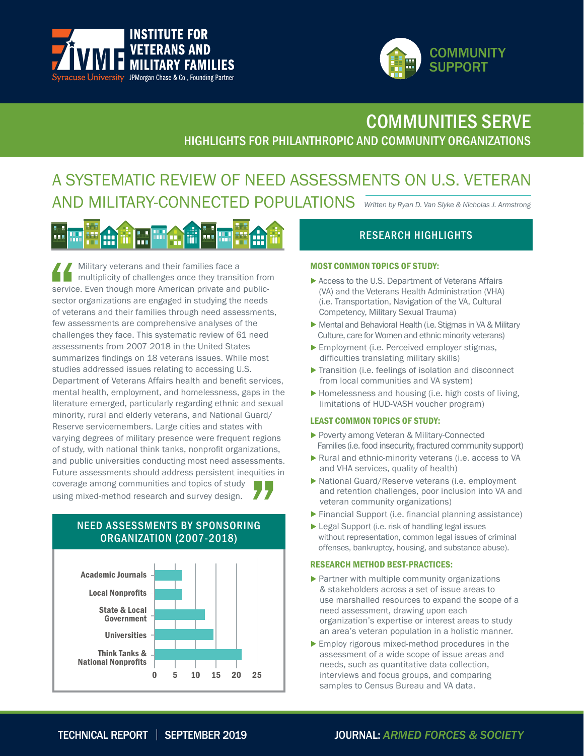



## HIGHLIGHTS FOR PHILANTHROPIC AND COMMUNITY ORGANIZATIONS COMMUNITIES SERVE

# A SYSTEMATIC REVIEW OF NEED ASSESSMENTS ON U.S. VETERAN AND MILITARY-CONNECTED POPULATIONS *Written by Ryan D. Van Slyke & Nicholas J. Armstrong*



 Military veterans and their families face a multiplicity of challenges once they transition from service. Even though more American private and publicsector organizations are engaged in studying the needs of veterans and their families through need assessments, few assessments are comprehensive analyses of the challenges they face. This systematic review of 61 need assessments from 2007-2018 in the United States summarizes findings on 18 veterans issues. While most studies addressed issues relating to accessing U.S. Department of Veterans Affairs health and benefit services, mental health, employment, and homelessness, gaps in the literature emerged, particularly regarding ethnic and sexual minority, rural and elderly veterans, and National Guard/ Reserve servicemembers. Large cities and states with varying degrees of military presence were frequent regions of study, with national think tanks, nonprofit organizations, and public universities conducting most need assessments. Future assessments should address persistent inequities in coverage among communities and topics of study using mixed-method research and survey design.

### NEED ASSESSMENTS BY SPONSORING ORGANIZATION (2007-2018)



## RESEARCH HIGHLIGHTS

#### MOST COMMON TOPICS OF STUDY:

- Access to the U.S. Department of Veterans Affairs (VA) and the Veterans Health Administration (VHA) (i.e. Transportation, Navigation of the VA, Cultural Competency, Military Sexual Trauma)
- Mental and Behavioral Health (i.e. Stigmas in VA & Military Culture, care for Women and ethnic minority veterans)
- Employment (i.e. Perceived employer stigmas, difficulties translating military skills)
- Transition (i.e. feelings of isolation and disconnect from local communities and VA system)
- Homelessness and housing (i.e. high costs of living, limitations of HUD-VASH voucher program)

#### LEAST COMMON TOPICS OF STUDY:

- Poverty among Veteran & Military-Connected Families (i.e. food insecurity, fractured community support)
- Rural and ethnic-minority veterans (i.e. access to VA and VHA services, quality of health)
- National Guard/Reserve veterans (i.e. employment and retention challenges, poor inclusion into VA and veteran community organizations)
- Financial Support (i.e. financial planning assistance)
- ▶ Legal Support (i.e. risk of handling legal issues without representation, common legal issues of criminal offenses, bankruptcy, housing, and substance abuse).

#### RESEARCH METHOD BEST-PRACTICES:

- Partner with multiple community organizations & stakeholders across a set of issue areas to use marshalled resources to expand the scope of a need assessment, drawing upon each organization's expertise or interest areas to study an area's veteran population in a holistic manner.
- Employ rigorous mixed-method procedures in the assessment of a wide scope of issue areas and needs, such as quantitative data collection, interviews and focus groups, and comparing samples to Census Bureau and VA data.